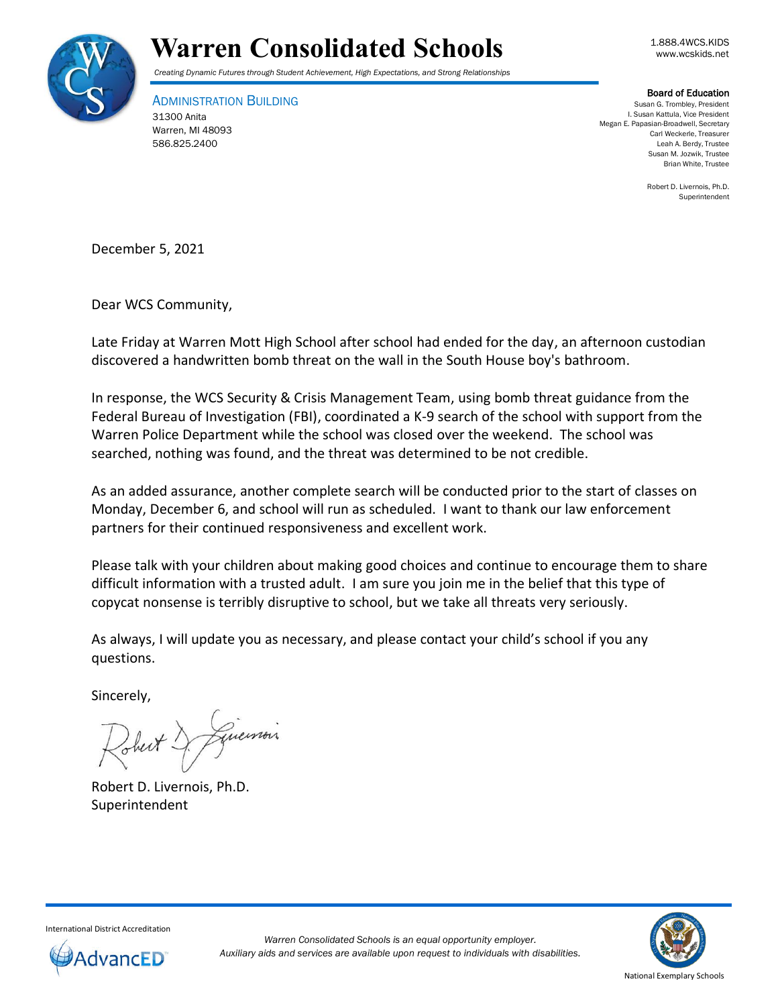



*Creating Dynamic Futures through Student Achievement, High Expectations, and Strong Relationships*

ADMINISTRATION BUILDING 31300 Anita Warren, MI 48093 586.825.2400

Board of Education

Susan G. Trombley, President I. Susan Kattula, Vice President Megan E. Papasian-Broadwell, Secretary Carl Weckerle, Treasurer Leah A. Berdy, Trustee Susan M. Jozwik, Trustee Brian White, Trustee

> Robert D. Livernois, Ph.D. Superintendent

December 5, 2021

Dear WCS Community,

Late Friday at Warren Mott High School after school had ended for the day, an afternoon custodian discovered a handwritten bomb threat on the wall in the South House boy's bathroom.

In response, the WCS Security & Crisis Management Team, using bomb threat guidance from the Federal Bureau of Investigation (FBI), coordinated a K-9 search of the school with support from the Warren Police Department while the school was closed over the weekend. The school was searched, nothing was found, and the threat was determined to be not credible.

As an added assurance, another complete search will be conducted prior to the start of classes on Monday, December 6, and school will run as scheduled. I want to thank our law enforcement partners for their continued responsiveness and excellent work.

Please talk with your children about making good choices and continue to encourage them to share difficult information with a trusted adult. I am sure you join me in the belief that this type of copycat nonsense is terribly disruptive to school, but we take all threats very seriously.

As always, I will update you as necessary, and please contact your child's school if you any questions.

Sincerely,

Guerrois

Robert D. Livernois, Ph.D. Superintendent



International District Accreditation